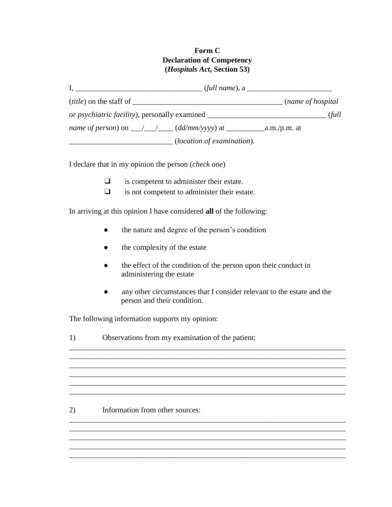## **Form C Declaration of Competency (***Hospitals Act***, Section 53)**

|                                                                                  | $(full name)$ , a           |
|----------------------------------------------------------------------------------|-----------------------------|
| <i>(title)</i> on the staff of                                                   | ( <i>name of hospital</i> ) |
| or psychiatric facility), personally examined __________________________________ | (full                       |
|                                                                                  |                             |
|                                                                                  | (location of examination).  |

I declare that in my opinion the person (*check one*)

- ❑ is competent to administer their estate.
- ❑ is not competent to administer their estate.

In arriving at this opinion I have considered **all** of the following:

- the nature and degree of the person's condition
- $\bullet$  the complexity of the estate
- the effect of the condition of the person upon their conduct in administering the estate

\_\_\_\_\_\_\_\_\_\_\_\_\_\_\_\_\_\_\_\_\_\_\_\_\_\_\_\_\_\_\_\_\_\_\_\_\_\_\_\_\_\_\_\_\_\_\_\_\_\_\_\_\_\_\_\_\_\_\_\_\_\_\_\_\_\_\_\_\_\_\_\_ \_\_\_\_\_\_\_\_\_\_\_\_\_\_\_\_\_\_\_\_\_\_\_\_\_\_\_\_\_\_\_\_\_\_\_\_\_\_\_\_\_\_\_\_\_\_\_\_\_\_\_\_\_\_\_\_\_\_\_\_\_\_\_\_\_\_\_\_\_\_\_\_

\_\_\_\_\_\_\_\_\_\_\_\_\_\_\_\_\_\_\_\_\_\_\_\_\_\_\_\_\_\_\_\_\_\_\_\_\_\_\_\_\_\_\_\_\_\_\_\_\_\_\_\_\_\_\_\_\_\_\_\_\_\_\_\_\_\_\_\_\_\_\_\_ \_\_\_\_\_\_\_\_\_\_\_\_\_\_\_\_\_\_\_\_\_\_\_\_\_\_\_\_\_\_\_\_\_\_\_\_\_\_\_\_\_\_\_\_\_\_\_\_\_\_\_\_\_\_\_\_\_\_\_\_\_\_\_\_\_\_\_\_\_\_\_\_ \_\_\_\_\_\_\_\_\_\_\_\_\_\_\_\_\_\_\_\_\_\_\_\_\_\_\_\_\_\_\_\_\_\_\_\_\_\_\_\_\_\_\_\_\_\_\_\_\_\_\_\_\_\_\_\_\_\_\_\_\_\_\_\_\_\_\_\_\_\_\_\_

\_\_\_\_\_\_\_\_\_\_\_\_\_\_\_\_\_\_\_\_\_\_\_\_\_\_\_\_\_\_\_\_\_\_\_\_\_\_\_\_\_\_\_\_\_\_\_\_\_\_\_\_\_\_\_\_\_\_\_\_\_\_\_\_\_\_\_\_\_\_\_\_ \_\_\_\_\_\_\_\_\_\_\_\_\_\_\_\_\_\_\_\_\_\_\_\_\_\_\_\_\_\_\_\_\_\_\_\_\_\_\_\_\_\_\_\_\_\_\_\_\_\_\_\_\_\_\_\_\_\_\_\_\_\_\_\_\_\_\_\_\_\_\_\_ \_\_\_\_\_\_\_\_\_\_\_\_\_\_\_\_\_\_\_\_\_\_\_\_\_\_\_\_\_\_\_\_\_\_\_\_\_\_\_\_\_\_\_\_\_\_\_\_\_\_\_\_\_\_\_\_\_\_\_\_\_\_\_\_\_\_\_\_\_\_\_\_ \_\_\_\_\_\_\_\_\_\_\_\_\_\_\_\_\_\_\_\_\_\_\_\_\_\_\_\_\_\_\_\_\_\_\_\_\_\_\_\_\_\_\_\_\_\_\_\_\_\_\_\_\_\_\_\_\_\_\_\_\_\_\_\_\_\_\_\_\_\_\_\_ \_\_\_\_\_\_\_\_\_\_\_\_\_\_\_\_\_\_\_\_\_\_\_\_\_\_\_\_\_\_\_\_\_\_\_\_\_\_\_\_\_\_\_\_\_\_\_\_\_\_\_\_\_\_\_\_\_\_\_\_\_\_\_\_\_\_\_\_\_\_\_\_

• any other circumstances that I consider relevant to the estate and the person and their condition.

 $\overline{\phantom{a}}$  , and the set of the set of the set of the set of the set of the set of the set of the set of the set of the set of the set of the set of the set of the set of the set of the set of the set of the set of the s

The following information supports my opinion:

1) Observations from my examination of the patient:

## 2) Information from other sources: